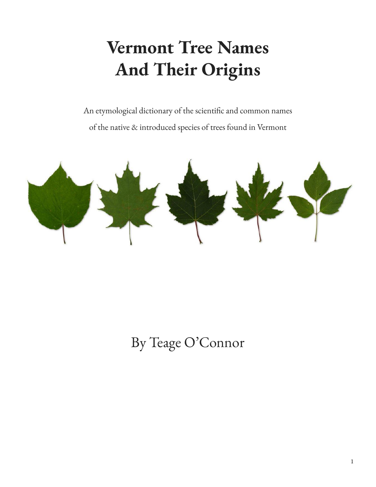# **Vermont Tree Names And Their Origins**

An etymological dictionary of the scientific and common names of the native & introduced species of trees found in Vermont



By Teage O'Connor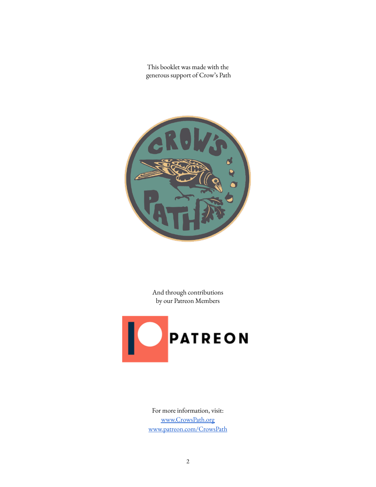This booklet was made with the generous support of Crow's Path



And through contributions by our Patreon Members



For more information, visit: [www.CrowsPath.org](https://crowspath.org/) [www.patreon.com/CrowsPath](https://www.patreon.com/crowspath)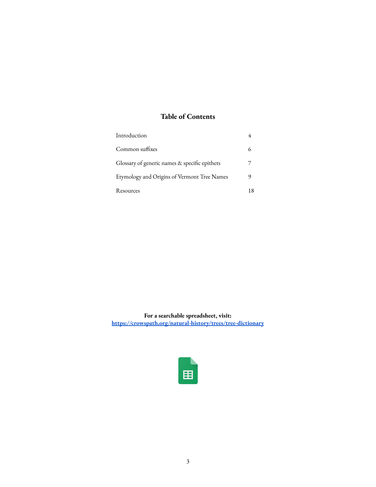#### **Table of Contents**

| Introduction                                  |    |
|-----------------------------------------------|----|
| Common suffixes                               | 6  |
| Glossary of generic names & specific epithets |    |
| Etymology and Origins of Vermont Tree Names   | 9  |
| Resources                                     | 18 |

**For a searchable spreadsheet, visit: <https://crowspath.org/natural-history/trees/tree-dictionary>**

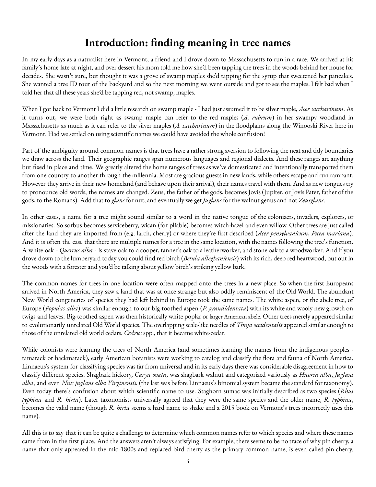# **Introduction: finding meaning in tree names**

In my early days as a naturalist here in Vermont, a friend and I drove down to Massachusetts to run in a race. We arrived at his family's home late at night, and over dessert his mom told me how she'd been tapping the trees in the woods behind her house for decades. She wasn't sure, but thought it was a grove of swamp maples she'd tapping for the syrup that sweetened her pancakes. She wanted a tree ID tour of the backyard and so the next morning we went outside and got to see the maples. I felt bad when I told her that all these years she'd be tapping red, not swamp, maples.

When I got back to Vermont I did a little research on swamp maple - I had just assumed it to be silver maple, *Acer saccharinum*. As it turns out, we were both right as swamp maple can refer to the red maples (*A. rubrum*) in her swampy woodland in Massachusetts as much as it can refer to the silver maples (*A. saccharinum*) in the floodplains along the Winooski River here in Vermont. Had we settled on using scientific names we could have avoided the whole confusion!

Part of the ambiguity around common names is that trees have a rather strong aversion to following the neat and tidy boundaries we draw across the land. Their geographic ranges span numerous languages and regional dialects. And these ranges are anything but fixed in place and time. We greatly altered the home ranges of trees as we've domesticated and intentionally transported them from one country to another through the millennia. Most are gracious guests in new lands, while others escape and run rampant. However they arrive in their new homeland (and behave upon their arrival), their names travel with them. And as new tongues try to pronounce old words, the names are changed. Zeus, the father of the gods, becomes Jovis (Jupiter, or Jovis Pater, father of the gods, to the Romans). Add that to *glans* for nut, and eventually we get *Juglans* for the walnut genus and not *Zeusglans*.

In other cases, a name for a tree might sound similar to a word in the native tongue of the colonizers, invaders, explorers, or missionaries. So sorbus becomes serviceberry, wican (for pliable) becomes witch-hazel and even willow. Other trees are just called after the land they are imported from (e.g. larch, cherry) or where they're first described (*Acer pensylvanicum*, *Picea mariana*). And it is often the case that there are multiple names for a tree in the same location, with the names following the tree's function. A white oak - *Quercus alba* - is stave oak to a cooper, tanner's oak to a leatherworker, and stone oak to a woodworker. And if you drove down to the lumberyard today you could find red birch (*Betula alleghaniensis*) with its rich, deep red heartwood, but out in the woods with a forester and you'd be talking about yellow birch's striking yellow bark.

The common names for trees in one location were often mapped onto the trees in a new place. So when the first Europeans arrived in North America, they saw a land that was at once strange but also oddly reminiscent of the Old World. The abundant New World congenerics of species they had left behind in Europe took the same names. The white aspen, or the abele tree, of Europe (*Populas alba*) was similar enough to our big-toothed aspen (*P. grandidentata*) with its white and wooly new growth on twigs and leaves. Big-toothed aspen was then historically white poplar or larger American abele. Other trees merely appeared similar to evolutionarily unrelated Old World species. The overlapping scale-like needles of *Thuja occidentalis* appeared similar enough to those of the unrelated old world cedars, *Cedrus* spp., that it became white-cedar.

While colonists were learning the trees of North America (and sometimes learning the names from the indigenous peoples tamarack or hackmatack), early American botanists were working to catalog and classify the flora and fauna of North America. Linnaeus's system for classifying species was far from universal and in its early days there was considerable disagreement in how to classify different species. Shagbark hickory, *Carya ovata*, was shagbark walnut and categorized variously as *Hicoria alba*, *Juglans alba*, and even *Nux juglans alba Virginensis.* (the last was before Linnaeus's binomial system became the standard for taxonomy). Even today there's confusion about which scientific name to use. Staghorn sumac was initially described as two species (*Rhus typhina* and *R. hirta*). Later taxonomists universally agreed that they were the same species and the older name, *R. typhina*, becomes the valid name (though *R. hirta* seems a hard name to shake and a 2015 book on Vermont's trees incorrectly uses this name).

All this is to say that it can be quite a challenge to determine which common names refer to which species and where these names came from in the first place. And the answers aren't always satisfying. For example, there seems to be no trace of why pin cherry, a name that only appeared in the mid-1800s and replaced bird cherry as the primary common name, is even called pin cherry.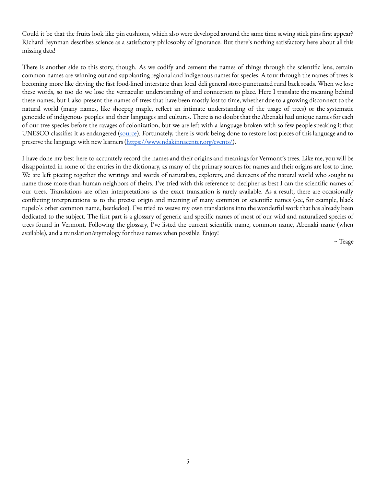Could it be that the fruits look like pin cushions, which also were developed around the same time sewing stick pins first appear? Richard Feynman describes science as a satisfactory philosophy of ignorance. But there's nothing satisfactory here about all this missing data!

There is another side to this story, though. As we codify and cement the names of things through the scientific lens, certain common names are winning out and supplanting regional and indigenous names for species. A tour through the names of trees is becoming more like driving the fast food-lined interstate than local deli general store-punctuated rural back roads. When we lose these words, so too do we lose the vernacular understanding of and connection to place. Here I translate the meaning behind these names, but I also present the names of trees that have been mostly lost to time, whether due to a growing disconnect to the natural world (many names, like shoepeg maple, reflect an intimate understanding of the usage of trees) or the systematic genocide of indigenous peoples and their languages and cultures. There is no doubt that the Abenaki had unique names for each of our tree species before the ravages of colonization, but we are left with a language broken with so few people speaking it that UNESCO classifies it as endangered ([source\)](https://www.cbc.ca/originalvoices/language/abenaki/). Fortunately, there is work being done to restore lost pieces of this language and to preserve the language with new learners [\(https://www.ndakinnacenter.org/events/\)](https://www.ndakinnacenter.org/events/).

I have done my best here to accurately record the names and their origins and meanings for Vermont's trees. Like me, you will be disappointed in some of the entries in the dictionary, as many of the primary sources for names and their origins are lost to time. We are left piecing together the writings and words of naturalists, explorers, and denizens of the natural world who sought to name those more-than-human neighbors of theirs. I've tried with this reference to decipher as best I can the scientific names of our trees. Translations are often interpretations as the exact translation is rarely available. As a result, there are occasionally conflicting interpretations as to the precise origin and meaning of many common or scientific names (see, for example, black tupelo's other common name, beetledoe). I've tried to weave my own translations into the wonderful work that has already been dedicated to the subject. The first part is a glossary of generic and specific names of most of our wild and naturalized species of trees found in Vermont. Following the glossary, I've listed the current scientific name, common name, Abenaki name (when available), and a translation/etymology for these names when possible. Enjoy!

~ Teage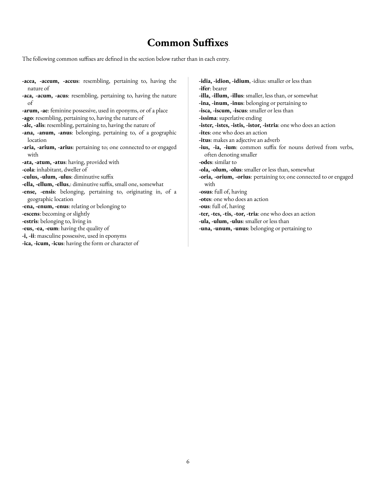#### **Common Suffixes**

The following common suffixes are defined in the section below rather than in each entry.

**-acea, -aceum, -aceus**: resembling, pertaining to, having the nature of **-aca, -acum, -acus**: resembling, pertaining to, having the nature of **-arum, -ae**: feminine possessive, used in eponyms, or of a place **-ago**: resembling, pertaining to, having the nature of **-ale, -alis**: resembling, pertaining to, having the nature of **-ana, -anum, -anus**: belonging, pertaining to, of a geographic location **-aria, -arium, -arius**: pertaining to; one connected to or engaged with **-ata, -atum, -atus**: having, provided with **-cola**: inhabitant, dweller of **-culus, -ulum, -ulus**: diminutive suffix **-ella, -ellum, -ellus**,: diminutive suffix, small one, somewhat **-ense, -ensis**: belonging, pertaining to, originating in, of a geographic location **-ena, -enum, -enus**: relating or belonging to **-escens**: becoming or slightly **-estris**: belonging to, living in **-eus, -ea, -eum**: having the quality of **-i, -ii**: masculine possessive, used in eponyms **-ica, -icum, -icus**: having the form or character of

**-idia, -idion, -idium**, -idius: smaller or less than **-ifer**: bearer **-illa, -illum, -illus**: smaller, less than, or somewhat **-ina, -inum, -inus**: belonging or pertaining to **-isca, -iscum, -iscus**: smaller or less than **-issima**: superlative ending **-ister, -istes, -istis, -istor, -istria**: one who does an action **-ites**: one who does an action **-itus**: makes an adjective an adverb **-ius, -ia, -ium**: common suffix for nouns derived from verbs, often denoting smaller **-odes**: similar to **-ola, -olum, -olus**: smaller or less than, somewhat **-oria, -orium, -orius**: pertaining to; one connected to or engaged with **-osus**: full of, having **-otes**: one who does an action **-ous**: full of, having **-ter, -tes, -tis, -tor, -tria**: one who does an action **-ula, -ulum, -ulus**: smaller or less than **-una, -unum, -unus**: belonging or pertaining to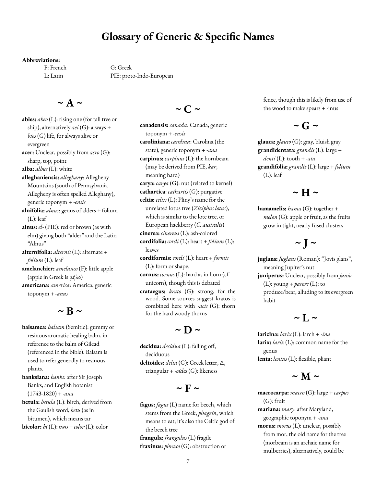#### **Glossary of Generic & Specific Names**

#### **Abbreviations:**

F: French G: Greek L: Latin PIE: proto-Indo-European

#### $\sim$  **A**  $\sim$

**abies:** *abeo* (L): rising one (for tall tree or ship), alternatively *aei* (G): always + *bios* (G) life, for always alive or evergreen **acer:** Unclear, possibly from *acro* (G): sharp, top, point **alba:** *albus* (L): white **alleghaniensis:** *alleghany*: Allegheny Mountains (south of Pennsylvania Allegheny is often spelled Alleghany), generic toponym + -*ensis* **alnifolia:** *alnus*: genus of alders + folium (L): leaf **alnus:** *el*- (PIE): red or brown (as with elm) giving both "alder" and the Latin "Alnus" **alternifolia:** *alternis* (L): alternate + *folium* (L): leaf **amelanchier:** *amelanco* (F): little apple (apple in Greek is μήλο) **americana:** *america*: America, generic toponym + -*anus*

 $\sim$  **B**  $\sim$ 

**balsamea:** *balsam* (Semitic): gummy or resinous aromatic healing balm, in reference to the balm of Gilead (referenced in the bible). Balsam is used to refer generally to resinous plants.

**banksiana:** *banks*: after Sir Joseph Banks, and English botanist (1743-1820) + -*ana*

**betula:** *betula* (L): birch, derived from the Gaulish word, *betu* (as in bitumen), which means tar **bicolor:**  $bi$  (L): two + *color* (L): color

#### $\sim$  **C**  $\sim$

**canadensis:** *canada*: Canada, generic toponym + -*ensis* **caroliniana:** *carolina*: Carolina (the state), generic toponym + -*ana* **carpinus:** *carpinus* (L): the hornbeam (may be derived from PIE, *kar*, meaning hard) **carya:** *carya* (G): nut (related to kernel) **cathartica**: *cathartis* (G): purgative **celtis:** *celtis* (L): Pliny's name for the unrelated lotus tree (*Ziziphus lotus*), which is similar to the lote tree, or European hackberry (*C. australis*) **cinerea:** *cinereus* (L): ash-colored **cordifolia:** *cordi* (L): heart + *folium* (L): leaves **cordiformis:** *cordi* (L): heart + *formis* (L): form or shape.

- **cornus:** *cornus* (L): hard as in horn (cf unicorn), though this is debated
- **crataegus:** *krato* (G): strong, for the wood. Some sources suggest kratos is combined here with -*acis* (G): thorn for the hard woody thorns

# $\sim$  **D**  $\sim$

**decidua:** *decidua* (L): falling off, deciduous **deltoides:** *delta* (G): Greek letter, △,

triangular + -*oides* (G): likeness

#### $\sim$  **F**  $\sim$

**fagus:** *fagus* (L) name for beech, which stems from the Greek, *phagein*, which means to eat; it's also the Celtic god of the beech tree

**frangula:** *frangulus* (L) fragile **fraxinus:** *phraxo* (G): obstruction or fence, though this is likely from use of the wood to make spears + -inus

# $\sim$  **G**  $\sim$

**glauca:** *glauco* (G): gray, bluish gray **grandidentata:** *grandis* (L): large + *denti* (L): tooth + -*ata* **grandifolia:** *grandis* (L): large + *folium* (L): leaf

#### $\sim$  **H**  $\sim$

**hamamelis:** *hama* (G): together + *melon* (G): apple or fruit, as the fruits grow in tight, nearly fused clusters

# $\sim$  **J**  $\sim$

**juglans:** *Juglans* (Roman): "Jovis glans", meaning Jupiter's nut **juniperus:** Unclear, possibly from *junio* (L): young + *parere* (L): to produce/bear, alluding to its evergreen habit

# $\sim$  **L**  $\sim$

**laricina:** *larix* (L): larch + -*ina* **larix:** *larix* (L): common name for the genus **lenta:** *lentus* (L): flexible, pliant

# $\sim$  **M**  $\sim$

**macrocarpa:** *macro* (G): large + *carpus* (G): fruit **mariana:** *mary*: after Maryland, geographic toponym + -*ana* **morus:** *morus* (L): unclear, possibly from mor, the old name for the tree (morbeam is an archaic name for mulberries), alternatively, could be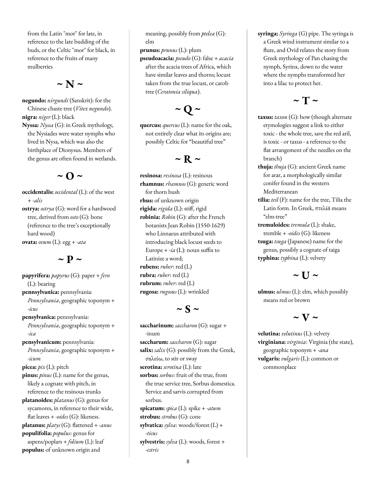from the Latin "mor" for late, in reference to the late budding of the buds, or the Celtic "mor" for black, in reference to the fruits of many mulberries

 $\sim$  **N**  $\sim$ 

**negundo:** *nirgundi* (Sanskrit): for the Chinese chaste tree (*Vitex negundo*). **nigra:** *niger* (L): black **Nyssa:** *Nyssa* (G): in Greek mythology, the Nysiades were water nymphs who lived in Nysa, which was also the birthplace of Dionysus. Members of the genus are often found in wetlands.

 $\sim$   $\Omega \sim$ 

**occidentalis:** *occidental* (L): of the west + -*alis* **ostrya:** *ostrya* (G): word for a hardwood tree, derived from *osto* (G): bone (reference to the tree's exceptionally hard wood) **ovata:** *ovum* (L): egg + -*ata*

#### $\sim$  **p**  $\sim$

**papyrifera:** *papyrus* (G): paper + *fero* (L): bearing **pennsylvanica:** pennsylvania: *Pennsylvania*, geographic toponym + -*icus* **pensylvanica:** pennsylvania: *Pennsylvania*, geographic toponym + -*ica* **pensylvanicum:** pennsylvania: *Pennsylvania*, geographic toponym + -*icum* **picea:** *pix* (L): pitch **pinus:** *pinus* (L): name for the genus, likely a cognate with pitch, in reference to the resinous trunks **platanoides:** *platanus* (G): genus for sycamores, in reference to their wide, flat leaves + -*oides* (G): likeness. **platanus:** *platys* (G): flattened + -*anus* **populifolia:** *populus*: genus for aspens/poplars + *folium* (L): leaf **populus:** of unknown origin and

meaning, possibly from *ptelea* (G): elm

**prunus:** *prunus* (L): plum **pseudoacacia:** *pseudo* (G): false + *acacia* after the acacia trees of Africa, which have similar leaves and thorns; locust taken from the true locust, or carob tree (*Ceratonia siliqua*).

# $\sim$  **Q**  $\sim$

**quercus:** *quercus* (L): name for the oak, not entirely clear what its origins are; possibly Celtic for "beautiful tree"

# $\sim$  **R**  $\sim$

**resinosa:** *resinosa* (L): resinous **rhamnus:** *rhamnos* (G): generic word for thorn bush **rhus:** of unknown origin **rigida:** *rigida* (L): stiff, rigid **robinia:** *Robin* (G): after the French botanists Jean Robin (1550-1629) who Linnaeus attributed with introducing black locust seeds to Europe  $+$  *-ia* (L): noun suffix to Latinize a word; **rubens:** *ruber*: red (L) **rubra:** *ruber*: red (L) **rubrum:** *ruber*: red (L) **rugosa:** *rugosus* (L): wrinkled

# $\sim$  **S**  $\sim$

**saccharinum:** *saccharon* (G): sugar + -inum **saccharum:** *saccharon* (G): sugar **salix:** *salix* (G): possibly from the Greek, σαλεύω, to stir or sway **serotina:** *serotina* (L): late **sorbus:** *sorbus*: fruit of the true, from the true service tree, Sorbus domestica. Service and sarvis corrupted from sorbus. **spicatum:** *spica* (L): spike + -*atum* **strobus:** *strobus* (G): cone **sylvatica:** *sylva*: woods/forest (L) + -*ticus* **sylvestris:** *sylva* (L): woods, forest + -*estris*

**syringa:** *Syringa* (G) pipe. The syringa is a Greek wind instrument similar to a flute, and Ovid relates the story from Greek mythology of Pan chasing the nymph, Syrinx, down to the water where the nymphs transformed her into a lilac to protect her.

# $\sim$  **T**  $\sim$

- **taxus:** *taxon* (G): bow (though alternate etymologies suggest a link to either toxic - the whole tree, save the red aril, is toxic - or taxus - a reference to the flat arrangement of the needles on the branch)
- **thuja:** *thuja* (G): ancient Greek name for arar, a morphologically similar conifer found in the western Mediterranean
- **tilia:** *teil* (F): name for the tree, Tilia the Latin form. In Greek, πτελέᾱ means "elm-tree"
- **tremuloides:** *tremula* (L): shake, tremble + -*oides* (G): likeness **tsuga:** *tsuga* (Japanese) name for the genus, possibly a cognate of taiga **typhina:** *typhina* (L): velvety

# $\sim$  **U**  $\sim$

**ulmus:** *ulmus* (L): elm, which possibly means red or brown

# $\sim$  **V**  $\sim$

**velutina:** *velutinus* (L): velvety **virginiana:** *virginia*: Virginia (the state), geographic toponym + -*ana* **vulgaris:** *vulgaris* (L): common or commonplace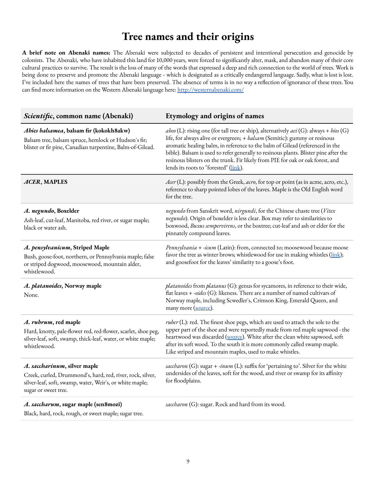#### **Tree names and their origins**

**A brief note on Abenaki names:** The Abenaki were subjected to decades of persistent and intentional persecution and genocide by colonists. The Abenaki, who have inhabited this land for 10,000 years, were forced to significantly alter, mask, and abandon many of their core cultural practices to survive. The result is the loss of many of the words that expressed a deep and rich connection to the world of trees. Work is being done to preserve and promote the Abenaki language - which is designated as a critically endangered language. Sadly, what is lost is lost. I've included here the names of trees that have been preserved. The absence of terms is in no way a reflection of ignorance of these trees. You can find more information on the Western Abenaki language here: <http://westernabenaki.com/>

| Scientific, common name (Abenaki)                                                                                                                                              | Etymology and origins of names                                                                                                                                                                                                                                                                                                                                                                                                                                          |
|--------------------------------------------------------------------------------------------------------------------------------------------------------------------------------|-------------------------------------------------------------------------------------------------------------------------------------------------------------------------------------------------------------------------------------------------------------------------------------------------------------------------------------------------------------------------------------------------------------------------------------------------------------------------|
| Abies balsamea, balsam fir (kokokh8akw)<br>Balsam tree, balsam spruce, hemlock or Hudson's fir;<br>blister or fir pine, Canadian turpentine, Balm-of-Gilead.                   | abeo (L): rising one (for tall tree or ship), alternatively aei (G): always + bios (G)<br>life, for always alive or evergreen; + balsam (Semitic): gummy or resinous<br>aromatic healing balm, in reference to the balm of Gilead (referenced in the<br>bible). Balsam is used to refer generally to resinous plants. Blister pine after the<br>resinous blisters on the trunk. Fir likely from PIE for oak or oak forest, and<br>lends its roots to "forested" (link). |
| ACER, MAPLES                                                                                                                                                                   | Acer (L): possibly from the Greek, acro, for top or point (as in acme, acro, etc.),<br>reference to sharp pointed lobes of the leaves. Maple is the Old English word<br>for the tree.                                                                                                                                                                                                                                                                                   |
| A. negundo, Boxelder<br>Ash-leaf, cut-leaf, Manitoba, red river, or sugar maple;<br>black or water ash.                                                                        | negundo from Sanskrit word, nirgundi, for the Chinese chaste tree (Vitex<br>negundo). Origin of boxelder is less clear. Box may refer to similarities to<br>boxwood, Buxus sempervirens, or the boxtree; cut-leaf and ash or elder for the<br>pinnately compound leaves.                                                                                                                                                                                                |
| A. pensylvanicum, Striped Maple<br>Bush, goose-foot, northern, or Pennsylvania maple; false<br>or striped dogwood, moosewood, mountain alder,<br>whistlewood.                  | Pennsylvania + -icum (Latin): from, connected to; moosewood because moose<br>favor the tree as winter brows; whistlewood for use in making whistles (link);<br>and goosefoot for the leaves' similarity to a goose's foot.                                                                                                                                                                                                                                              |
| A. platanoides, Norway maple<br>None.                                                                                                                                          | platanoides from platanus (G): genus for sycamores, in reference to their wide,<br>flat leaves + -oides (G): likeness. There are a number of named cultivars of<br>Norway maple, including Scwedler's, Crimson King, Emerald Queen, and<br>many more (source).                                                                                                                                                                                                          |
| A. rubrum, red maple<br>Hard, knotty, pale-flower red, red-flower, scarlet, shoe peg,<br>silver-leaf, soft, swamp, thick-leaf, water, or white maple;<br>whistlewood.          | $ruber$ (L): red. The finest shoe pegs, which are used to attach the sole to the<br>upper part of the shoe and were reportedly made from red maple sapwood - the<br>heartwood was discarded (source). White after the clean white sapwood, soft<br>after its soft wood. To the south it is more commonly called swamp maple.<br>Like striped and mountain maples, used to make whistles.                                                                                |
| A. saccharinum, silver maple<br>Creek, curled, Drummond's, hard, red, river, rock, silver,<br>silver-leaf, soft, swamp, water, Weir's, or white maple;<br>sugar or sweet tree. | saccharon (G): sugar + -inum (L): suffix for 'pertaining to'. Silver for the white<br>undersides of the leaves, soft for the wood, and river or swamp for its affinity<br>for floodplains.                                                                                                                                                                                                                                                                              |
| A. saccharum, sugar maple (sen8mozi)<br>Black, hard, rock, rough, or sweet maple; sugar tree.                                                                                  | saccharon (G): sugar. Rock and hard from its wood.                                                                                                                                                                                                                                                                                                                                                                                                                      |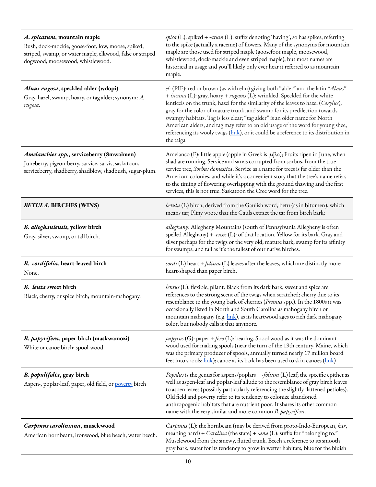| A. spicatum, mountain maple<br>Bush, dock-mockie, goose-foot, low, moose, spiked,<br>striped, swamp, or water maple; elkwood, false or striped<br>dogwood; moosewood, whistlewood. | spica (L): spiked + -atum (L): suffix denoting 'having', so has spikes, referring<br>to the spike (actually a raceme) of flowers. Many of the synonyms for mountain<br>maple are those used for striped maple (goosefoot maple, moosewood,<br>whistlewood, dock-mackie and even striped maple), but most names are<br>historical in usage and you'll likely only ever hear it referred to as mountain<br>maple.                                                                                                                                                                                       |
|------------------------------------------------------------------------------------------------------------------------------------------------------------------------------------|-------------------------------------------------------------------------------------------------------------------------------------------------------------------------------------------------------------------------------------------------------------------------------------------------------------------------------------------------------------------------------------------------------------------------------------------------------------------------------------------------------------------------------------------------------------------------------------------------------|
| Alnus rugosa, speckled alder (wdopi)<br>Gray, hazel, swamp, hoary, or tag alder; synonym: A.<br>rugosa.                                                                            | el-(PIE): red or brown (as with elm) giving both "alder" and the latin "Alnus"<br>+ incana (L): gray, hoary + rugosus (L): wrinkled. Speckled for the white<br>lenticels on the trunk, hazel for the similarity of the leaves to hazel (Corylus),<br>gray for the color of mature trunk, and swamp for its predilection towards<br>swampy habitats. Tag is less clear; "tag alder" is an older name for North<br>American alders, and tag may refer to an old usage of the word for young shee,<br>referencing its wooly twigs (link), or it could be a reference to its distribution in<br>the taiga |
| Amelanchier spp., serviceberry (8mwaimen)<br>Juneberry, pigeon-berry, sarvice, sarvis, saskatoon,<br>serviceberry, shadberry, shadblow, shadbush, sugar-plum.                      | Amelanco (F): little apple (apple in Greek is μήλο); Fruits ripen in June, when<br>shad are running. Service and sarvis corrupted from sorbus, from the true<br>service tree, Sorbus domestica. Service as a name for trees is far older than the<br>American colonies, and while it's a convenient story that the tree's name refers<br>to the timing of flowering overlapping with the ground thawing and the first<br>services, this is not true. Saskatoon the Cree word for the tree.                                                                                                            |
| <b>BETULA, BIRCHES (WINS)</b>                                                                                                                                                      | betula (L) birch, derived from the Gaulish word, betu (as in bitumen), which<br>means tar; Pliny wrote that the Gauls extract the tar from birch bark;                                                                                                                                                                                                                                                                                                                                                                                                                                                |
| B. alleghaniensis, yellow birch<br>Gray, silver, swamp, or tall birch.                                                                                                             | alleghany: Allegheny Mountains (south of Pennsylvania Allegheny is often<br>spelled Alleghany) + -ensis (L): of that location. Yellow for its bark. Gray and<br>silver perhaps for the twigs or the very old, mature bark, swamp for its affinity<br>for swamps, and tall as it's the tallest of our native birches.                                                                                                                                                                                                                                                                                  |
| B. cordifolia, heart-leaved birch<br>None.                                                                                                                                         | cordi (L) heart + folium (L) leaves after the leaves, which are distinctly more<br>heart-shaped than paper birch.                                                                                                                                                                                                                                                                                                                                                                                                                                                                                     |
| B. lenta sweet birch<br>Black, cherry, or spice birch; mountain-mahogany.                                                                                                          | lentus (L): flexible, pliant. Black from its dark bark; sweet and spice are<br>references to the strong scent of the twigs when scratched; cherry due to its<br>resemblance to the young bark of cherries (Prunus spp.). In the 1800s it was<br>occasionally listed in North and South Carolina as mahogany birch or<br>mountain mahogany (e.g. link), as its heartwood ages to rich dark mahogany<br>color, but nobody calls it that anymore.                                                                                                                                                        |
| B. papyrifera, paper birch (maskwamozi)<br>White or canoe birch; spool-wood.                                                                                                       | <i>papyrus</i> (G): paper + <i>fero</i> (L): bearing. Spool wood as it was the dominant<br>wood used for making spools (near the turn of the 19th century, Maine, which<br>was the primary producer of spools, annually turned nearly 17 million board<br>feet into spools: <u>link</u> ); canoe as its bark has been used to skin canoes (link)                                                                                                                                                                                                                                                      |
| B. populifolia, gray birch<br>Aspen-, poplar-leaf, paper, old field, or poverty birch                                                                                              | Populus is the genus for aspens/poplars $+$ -folium (L) leaf; the specific epithet as<br>well as aspen-leaf and poplar-leaf allude to the resemblance of gray birch leaves<br>to aspen leaves (possibly particularly referencing the slightly flattened petioles).<br>Old field and poverty refer to its tendency to colonize abandoned<br>anthropogenic habitats that are nutrient poor. It shares its other common<br>name with the very similar and more common <i>B. papyrifera</i> .                                                                                                             |
| Carpinus caroliniana, musclewood<br>American hornbeam, ironwood, blue beech, water beech.                                                                                          | Carpinus (L): the hornbeam (may be derived from proto-Indo-European, kar,<br>meaning hard) + Carolina (the state) + -ana (L): suffix for "belonging to."<br>Musclewood from the sinewy, fluted trunk. Beech a reference to its smooth<br>gray bark, water for its tendency to grow in wetter habitats, blue for the bluish                                                                                                                                                                                                                                                                            |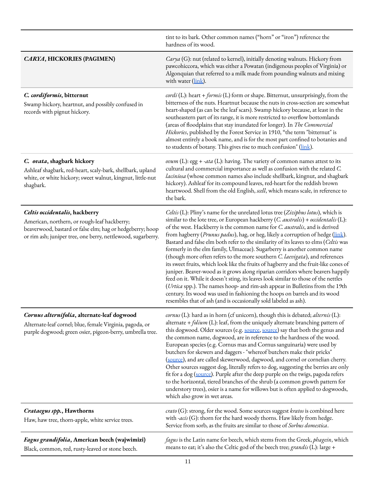|                                                                                                                                                                                                             | tint to its bark. Other common names ("horn" or "iron") reference the<br>hardness of its wood.                                                                                                                                                                                                                                                                                                                                                                                                                                                                                                                                                                                                                                                                                                                                                                                                                                                                                                                                                                                                  |
|-------------------------------------------------------------------------------------------------------------------------------------------------------------------------------------------------------------|-------------------------------------------------------------------------------------------------------------------------------------------------------------------------------------------------------------------------------------------------------------------------------------------------------------------------------------------------------------------------------------------------------------------------------------------------------------------------------------------------------------------------------------------------------------------------------------------------------------------------------------------------------------------------------------------------------------------------------------------------------------------------------------------------------------------------------------------------------------------------------------------------------------------------------------------------------------------------------------------------------------------------------------------------------------------------------------------------|
| CARYA, HICKORIES (PAGIMEN)                                                                                                                                                                                  | Carya (G): nut (related to kernel), initially denoting walnuts. Hickory from<br>pawcohiccora, which was either a Powatan (indigenous peoples of Virginia) or<br>Algonquian that referred to a milk made from pounding walnuts and mixing<br>with water (link).                                                                                                                                                                                                                                                                                                                                                                                                                                                                                                                                                                                                                                                                                                                                                                                                                                  |
| C. cordiformis, bitternut<br>Swamp hickory, heartnut, and possibly confused in<br>records with pignut hickory.                                                                                              | cordi (L): heart + formis (L) form or shape. Bitternut, unsurprisingly, from the<br>bitterness of the nuts. Heartnut because the nuts in cross-section are somewhat<br>heart-shaped (as can be the leaf scars). Swamp hickory because, at least in the<br>southeastern part of its range, it is more restricted to overflow bottomlands<br>(areas of floodplains that stay inundated for longer). In The Commercial<br>Hickories, published by the Forest Service in 1910, "the term "bitternut" is<br>almost entirely a book name, and is for the most part confined to botanies and<br>to students of botany. This gives rise to much confusion" (link).                                                                                                                                                                                                                                                                                                                                                                                                                                      |
| C. ovata, shagbark hickory<br>Ashleaf shagbark, red-heart, scaly-bark, shellbark, upland<br>white, or white hickory; sweet walnut, kingnut, little-nut<br>shagbark.                                         | ovum (L): egg + -ata (L): having. The variety of common names attest to its<br>cultural and commercial importance as well as confusion with the related C.<br>laciniosa (whose common names also include shellbark, kingnut, and shagbark<br>hickory). Ashleaf for its compound leaves, red-heart for the reddish brown<br>heartwood. Shell from the old English, scell, which means scale, in reference to<br>the bark.                                                                                                                                                                                                                                                                                                                                                                                                                                                                                                                                                                                                                                                                        |
| Celtis occidentalis, hackberry<br>American, northern, or rough-leaf hackberry;<br>beaverwood, bastard or false elm; hag or hedgeberry; hoop<br>or rim ash; juniper tree, one berry, nettlewood, sugarberry. | Celtis (L): Pliny's name for the unrelated lotus tree (Ziziphus lotus), which is<br>similar to the lote tree, or European hackberry (C. australis) + occidentalis (L):<br>of the west. Hackberry is the common name for C. australis, and is derived<br>from hagberry (Prunus padus), hag, or heg, likely a corruption of hedge (link).<br>Bastard and false elm both refer to the similarity of its leaves to elms (Celtis was<br>formerly in the elm family, Ulmaceae). Sugarberry is another common name<br>(though more often refers to the more southern C. laevigata), and references<br>its sweet fruits, which look like the fruits of hagberry and the fruit-like cones of<br>juniper. Beaver-wood as it grows along riparian corridors where beavers happily<br>feed on it. While it doesn't sting, its leaves look similar to those of the nettles<br>(Urtica spp.). The names hoop- and rim-ash appear in Bulletins from the 19th<br>century. Its wood was used in fashioning the hoops on barrels and its wood<br>resembles that of ash (and is occasionally sold labeled as ash). |
| Cornus alternifolia, alternate-leaf dogwood<br>Alternate-leaf cornel; blue, female Virginia, pagoda, or<br>purple dogwood; green osier, pigeon-berry, umbrella tree.                                        | cornus (L): hard as in horn (cf unicorn), though this is debated; alternis (L):<br>alternate + folium (L): leaf, from the uniquely alternate branching pattern of<br>this dogwood. Older sources (e.g. source, source) say that both the genus and<br>the common name, dogwood, are in reference to the hardness of the wood.<br>European species (e.g. Cornus mas and Cornus sanguinaria) were used by<br>butchers for skewers and daggers - "whereof butchers make their pricks"<br>(source), and are called skewerwood, dagwood, and cornel or cornelian cherry.<br>Other sources suggest dog, literally refers to dog, suggesting the berries are only<br>fit for a dog (source). Purple after the deep purple on the twigs, pagoda refers<br>to the horizontal, tiered branches of the shrub (a common growth pattern for<br>understory trees), osier is a name for willows but is often applied to dogwoods,<br>which also grow in wet areas.                                                                                                                                             |
| Crataegus spp., Hawthorns<br>Haw, haw tree, thorn-apple, white service trees.                                                                                                                               | crato (G): strong, for the wood. Some sources suggest kratos is combined here<br>with -acis (G): thorn for the hard woody thorns. Haw likely from hedge.<br>Service from sorb, as the fruits are similar to those of Sorbus domestica.                                                                                                                                                                                                                                                                                                                                                                                                                                                                                                                                                                                                                                                                                                                                                                                                                                                          |
| Fagus grandifolia, American beech (wajwimizi)<br>Black, common, red, rusty-leaved or stone beech.                                                                                                           | fagus is the Latin name for beech, which stems from the Greek, phagein, which<br>means to eat; it's also the Celtic god of the beech tree; grandis (L): large +                                                                                                                                                                                                                                                                                                                                                                                                                                                                                                                                                                                                                                                                                                                                                                                                                                                                                                                                 |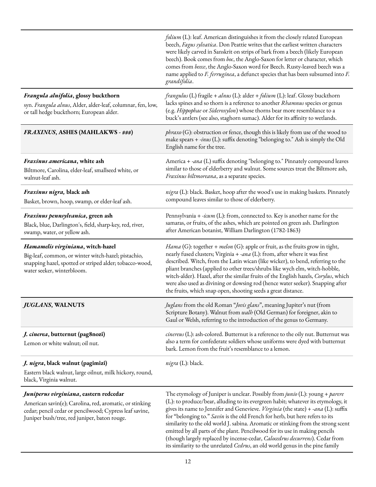|                                                                                                                                                                                                              | folium (L): leaf. American distinguishes it from the closely related European<br>beech, Fagus sylvatica. Don Peattie writes that the earliest written characters<br>were likely carved in Sanskrit on strips of bark from a beech (likely European<br>beech). Book comes from boc, the Anglo-Saxon for letter or character, which<br>comes from beece, the Anglo-Saxon word for Beech. Rusty-leaved beech was a<br>name applied to F. ferruginea, a defunct species that has been subsumed into F.<br>grandifolia.                                                                                                                                                          |
|--------------------------------------------------------------------------------------------------------------------------------------------------------------------------------------------------------------|-----------------------------------------------------------------------------------------------------------------------------------------------------------------------------------------------------------------------------------------------------------------------------------------------------------------------------------------------------------------------------------------------------------------------------------------------------------------------------------------------------------------------------------------------------------------------------------------------------------------------------------------------------------------------------|
| Frangula alnifolia, glossy buckthorn<br>syn. Frangula alnus, Alder, alder-leaf, columnar, fen, low,<br>or tall hedge buckthorn; European alder.                                                              | <i>frangulus</i> (L) fragile + <i>alnus</i> (L): alder + <i>folium</i> (L): leaf. Glossy buckthorn<br>lacks spines and so thorn is a reference to another Rhamnus species or genus<br>(e.g. Hippophae or Sideroxylon) whose thorns bear more resemblance to a<br>buck's antlers (see also, staghorn sumac). Alder for its affinity to wetlands.                                                                                                                                                                                                                                                                                                                             |
| <b>FRAXINUS, ASHES (MAHLAKWS - ###)</b>                                                                                                                                                                      | phraxo (G): obstruction or fence, though this is likely from use of the wood to<br>make spears + -inus (L): suffix denoting "belonging to." Ash is simply the Old<br>English name for the tree.                                                                                                                                                                                                                                                                                                                                                                                                                                                                             |
| Fraxinus americana, white ash<br>Biltmore, Carolina, elder-leaf, smallseed white, or<br>walnut-leaf ash.                                                                                                     | America + -ana (L) suffix denoting "belonging to." Pinnately compound leaves<br>similar to those of elderberry and walnut. Some sources treat the Biltmore ash,<br>Fraxinus biltmoreana, as a separate species.                                                                                                                                                                                                                                                                                                                                                                                                                                                             |
| Fraxinus nigra, black ash<br>Basket, brown, hoop, swamp, or elder-leaf ash.                                                                                                                                  | nigra (L): black. Basket, hoop after the wood's use in making baskets. Pinnately<br>compound leaves similar to those of elderberry.                                                                                                                                                                                                                                                                                                                                                                                                                                                                                                                                         |
| Fraxinus pennsylvanica, green ash<br>Black, blue, Darlington's, field, sharp-key, red, river,<br>swamp, water, or yellow ash.                                                                                | Pennsylvania + -icum (L): from, connected to. Key is another name for the<br>samaras, or fruits, of the ashes, which are pointed on green ash. Darlington<br>after American botanist, William Darlington (1782-1863)                                                                                                                                                                                                                                                                                                                                                                                                                                                        |
| Hamamelis virginiana, witch-hazel<br>Big-leaf, common, or winter witch-hazel; pistachio,<br>snapping hazel, spotted or striped alder; tobacco-wood,<br>water seeker, winterbloom.                            | Hama (G): together + melon (G): apple or fruit, as the fruits grow in tight,<br>nearly fused clusters; Virginia + -ana (L): from, after where it was first<br>described. Witch, from the Latin wican (like wicker), to bend, referring to the<br>pliant branches (applied to other trees/shrubs like wych elm, witch-hobble,<br>witch-alder). Hazel, after the similar fruits of the English hazels, Corylus, which<br>were also used as divining or dowsing rod (hence water seeker). Snapping after<br>the fruits, which snap open, shooting seeds a great distance.                                                                                                      |
| <i><b>JUGLANS, WALNUTS</b></i>                                                                                                                                                                               | <i>Juglans</i> from the old Roman <i>"Jovis glans</i> ", meaning Jupiter's nut (from<br>Scripture Botany). Walnut from walh (Old German) for foreigner, akin to<br>Gaul or Welsh, referring to the introduction of the genus to Germany.                                                                                                                                                                                                                                                                                                                                                                                                                                    |
| <i>J. cinerea</i> , butternut (pag8nozi)<br>Lemon or white walnut; oil nut.                                                                                                                                  | cinereus (L): ash-colored. Butternut is a reference to the oily nut. Butternut was<br>also a term for confederate soldiers whose uniforms were dyed with butternut<br>bark. Lemon from the fruit's resemblance to a lemon.                                                                                                                                                                                                                                                                                                                                                                                                                                                  |
| <i>J. nigra</i> , black walnut (pagimizi)<br>Eastern black walnut, large oilnut, milk hickory, round,<br>black, Virginia walnut.                                                                             | nigra (L): black.                                                                                                                                                                                                                                                                                                                                                                                                                                                                                                                                                                                                                                                           |
| Juniperus virginiana, eastern redcedar<br>American savin(e); Carolina, red, aromatic, or stinking<br>cedar; pencil cedar or pencilwood; Cypress leaf savine,<br>Juniper bush/tree, red juniper, baton rouge. | The etymology of Juniper is unclear. Possibly from junio (L): young + parere<br>(L): to produce/bear, alluding to its evergreen habit; whatever its etymology, it<br>gives its name to Jennifer and Genevieve. Virginia (the state) + -ana (L): suffix<br>for "belonging to." Savin is the old French for herb, but here refers to its<br>similarity to the old world J. sabina. Aromatic or stinking from the strong scent<br>emitted by all parts of the plant. Pencilwood for its use in making pencils<br>(though largely replaced by incense-cedar, Calocedrus decurrens). Cedar from<br>its similarity to the unrelated Cedrus, an old world genus in the pine family |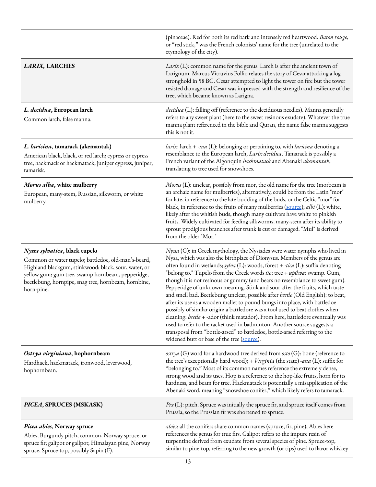|                                                                                                                                                                                                                                                                         | (pinaceae). Red for both its red bark and intensely red heartwood. Baton rouge,<br>or "red stick," was the French colonists' name for the tree (unrelated to the<br>etymology of the city).                                                                                                                                                                                                                                                                                                                                                                                                                                                                                                                                                                                                                                                                                                                                                                                                                                      |
|-------------------------------------------------------------------------------------------------------------------------------------------------------------------------------------------------------------------------------------------------------------------------|----------------------------------------------------------------------------------------------------------------------------------------------------------------------------------------------------------------------------------------------------------------------------------------------------------------------------------------------------------------------------------------------------------------------------------------------------------------------------------------------------------------------------------------------------------------------------------------------------------------------------------------------------------------------------------------------------------------------------------------------------------------------------------------------------------------------------------------------------------------------------------------------------------------------------------------------------------------------------------------------------------------------------------|
| <b>LARIX, LARCHES</b>                                                                                                                                                                                                                                                   | Larix (L): common name for the genus. Larch is after the ancient town of<br>Larignum. Marcus Vitruvius Pollio relates the story of Cesar attacking a log<br>stronghold in 58 BC. Cesar attempted to light the tower on fire but the tower<br>resisted damage and Cesar was impressed with the strength and resilience of the<br>tree, which became known as Larigna.                                                                                                                                                                                                                                                                                                                                                                                                                                                                                                                                                                                                                                                             |
| L. decidua, European larch<br>Common larch, false manna.                                                                                                                                                                                                                | decidua (L): falling off (reference to the deciduous needles). Manna generally<br>refers to any sweet plant (here to the sweet resinous exudate). Whatever the true<br>manna plant referenced in the bible and Quran, the name false manna suggests<br>this is not it.                                                                                                                                                                                                                                                                                                                                                                                                                                                                                                                                                                                                                                                                                                                                                           |
| L. laricina, tamarack (akemantak)<br>American black, black, or red larch; cypress or cypress<br>tree; hackmack or hackmatack; juniper cypress, juniper,<br>tamarisk.                                                                                                    | <i>larix</i> : larch + -ina (L): belonging or pertaining to, with <i>laricina</i> denoting a<br>resemblance to the European larch, Larix decidua. Tamarack is possibly a<br>French variant of the Algonquin hackmatack and Abenaki akemantak,<br>translating to tree used for snowshoes.                                                                                                                                                                                                                                                                                                                                                                                                                                                                                                                                                                                                                                                                                                                                         |
| Morus alba, white mulberry<br>European, many-stem, Russian, silkworm, or white<br>mulberry.                                                                                                                                                                             | Morus (L): unclear, possibly from mor, the old name for the tree (morbeam is<br>an archaic name for mulberries), alternatively, could be from the Latin "mor"<br>for late, in reference to the late budding of the buds, or the Celtic "mor" for<br>black, in reference to the fruits of many mulberries (source); albi (L): white,<br>likely after the whitish buds, though many cultivars have white to pinkish<br>fruits. Widely cultivated for feeding silkworms, many-stem after its ability to<br>sprout prodigious branches after trunk is cut or damaged. "Mul" is derived<br>from the older "Mor."                                                                                                                                                                                                                                                                                                                                                                                                                      |
| Nyssa sylvatica, black tupelo<br>Common or water tupelo; battledoe, old-man's-beard,<br>Highland blackgum, stinkwood; black, sour, water, or<br>yellow gum; gum tree, swamp hornbeam, pepperidge,<br>beetlebung, hornpipe, snag tree, hornbeam, hornbine,<br>horn-pine. | Nyssa (G): in Greek mythology, the Nysiades were water nymphs who lived in<br>Nysa, which was also the birthplace of Dionysus. Members of the genus are<br>often found in wetlands; sylva (L): woods, forest + -tica (L): suffix denoting<br>"belong to." Tupelo from the Creek words ito: tree + upilwa: swamp. Gum,<br>though it is not resinous or gummy (and bears no resemblance to sweet gum).<br>Pepperidge of unknown meaning. Stink and sour after the fruits, which taste<br>and smell bad. Beetlebung unclear, possible after beetle (Old English): to beat,<br>after its use as a wooden mallet to pound bungs into place, with battledoe<br>possibly of similar origin; a battledore was a tool used to beat clothes when<br>cleaning: beetle + -ador (think matador). From here, battledore eventually was<br>used to refer to the racket used in badminton. Another source suggests a<br>transposal from "bottle-arsed" to battledoe, bottle-arsed referring to the<br>widened butt or base of the tree (source). |
| Ostrya virginiana, hophornbeam<br>Hardhack, hackmatack, ironwood, leverwood,<br>hophornbean.                                                                                                                                                                            | ostrya (G) word for a hardwood tree derived from $\omega$ sto (G): bone (reference to<br>the tree's exceptionally hard wood); + Virginia (the state) -ana (L): suffix for<br>"belonging to." Most of its common names reference the extremely dense,<br>strong wood and its uses. Hop is a reference to the hop-like fruits, horn for its<br>hardness, and beam for tree. Hackmatack is potentially a misapplication of the<br>Abenaki word, meaning "snowshoe conifer," which likely refers to tamarack.                                                                                                                                                                                                                                                                                                                                                                                                                                                                                                                        |
| PICEA, SPRUCES (MSKASK)                                                                                                                                                                                                                                                 | $Pix(L)$ : pitch. Spruce was initially the spruce fir, and spruce itself comes from<br>Prussia, so the Prussian fir was shortened to spruce.                                                                                                                                                                                                                                                                                                                                                                                                                                                                                                                                                                                                                                                                                                                                                                                                                                                                                     |
| Picea abies, Norway spruce<br>Abies, Burgundy pitch, common, Norway spruce, or<br>spruce fir; galipot or gallpot; Himalayan pine, Norway<br>spruce, Spruce-top, possibly Sapin (F).                                                                                     | <i>abies</i> : all the conifers share common names (spruce, fir, pine), Abies here<br>references the genus for true firs. Galipot refers to the impure resin of<br>turpentine derived from exudate from several species of pine. Spruce-top,<br>similar to pine-top, referring to the new growth (or tips) used to flavor whiskey                                                                                                                                                                                                                                                                                                                                                                                                                                                                                                                                                                                                                                                                                                |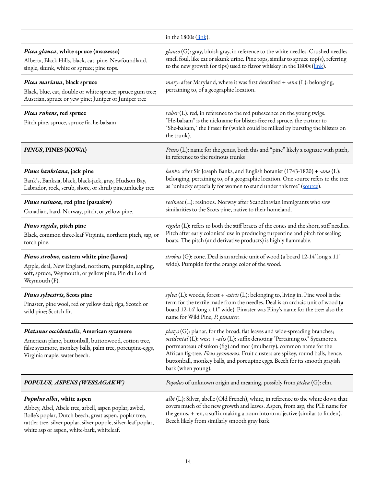|                                                                                                                                                                                                                                                               | in the 1800s (link).                                                                                                                                                                                                                                                                                                                                                                                                        |
|---------------------------------------------------------------------------------------------------------------------------------------------------------------------------------------------------------------------------------------------------------------|-----------------------------------------------------------------------------------------------------------------------------------------------------------------------------------------------------------------------------------------------------------------------------------------------------------------------------------------------------------------------------------------------------------------------------|
| Picea glauca, white spruce (msazesso)<br>Alberta, Black Hills, black, cat, pine, Newfoundland,<br>single, skunk, white or spruce; pine tops.                                                                                                                  | glauco (G): gray, bluish gray, in reference to the white needles. Crushed needles<br>smell foul, like cat or skunk urine. Pine tops, similar to spruce top(s), referring<br>to the new growth (or tips) used to flavor whiskey in the 1800s (link).                                                                                                                                                                         |
| Picea mariana, black spruce<br>Black, blue, cat, double or white spruce; spruce gum tree;<br>Austrian, spruce or yew pine; Juniper or Juniper tree                                                                                                            | mary: after Maryland, where it was first described + -ana (L): belonging,<br>pertaining to, of a geographic location.                                                                                                                                                                                                                                                                                                       |
| Picea rubens, red spruce<br>Pitch pine, spruce, spruce fir, he-balsam                                                                                                                                                                                         | $ruber$ (L): red, in reference to the red pubescence on the young twigs.<br>"He-balsam" is the nickname for blister-free red spruce, the partner to<br>"She-balsam," the Fraser fir (which could be milked by bursting the blisters on<br>the trunk).                                                                                                                                                                       |
| PINUS, PINES (KOWA)                                                                                                                                                                                                                                           | Pinus (L): name for the genus, both this and "pine" likely a cognate with pitch,<br>in reference to the resinous trunks                                                                                                                                                                                                                                                                                                     |
| Pinus banksiana, jack pine<br>Bank's, Banksia, black, black-jack, gray, Hudson Bay,<br>Labrador, rock, scrub, shore, or shrub pine, unlucky tree                                                                                                              | banks: after Sir Joseph Banks, and English botanist (1743-1820) + -ana (L):<br>belonging, pertaining to, of a geographic location. One source refers to the tree<br>as "unlucky especially for women to stand under this tree" (source).                                                                                                                                                                                    |
| Pinus resinosa, red pine (pasaakw)<br>Canadian, hard, Norway, pitch, or yellow pine.                                                                                                                                                                          | resinosa (L): resinous. Norway after Scandinavian immigrants who saw<br>similarities to the Scots pine, native to their homeland.                                                                                                                                                                                                                                                                                           |
| Pinus rigida, pitch pine<br>Black, common three-leaf Virginia, northern pitch, sap, or<br>torch pine.                                                                                                                                                         | rigida (L): refers to both the stiff bracts of the cones and the short, stiff needles.<br>Pitch after early colonists' use in producing turpentine and pitch for sealing<br>boats. The pitch (and derivative products) is highly flammable.                                                                                                                                                                                 |
| Pinus strobus, eastern white pine (kowa)<br>Apple, deal, New England, northern, pumpkin, sapling,<br>soft, spruce, Weymouth, or yellow pine; Pin du Lord<br>Weymouth (F).                                                                                     | strobus (G): cone. Deal is an archaic unit of wood (a board 12-14' long x 11"<br>wide). Pumpkin for the orange color of the wood.                                                                                                                                                                                                                                                                                           |
| Pinus sylvestris, Scots pine<br>Pinaster, pine wool, red or yellow deal; riga, Scotch or<br>wild pine; Scotch fir.                                                                                                                                            | sylva (L): woods, forest + -estris (L): belonging to, living in. Pine wool is the<br>term for the textile made from the needles. Deal is an archaic unit of wood (a<br>board 12-14' long x 11" wide). Pinaster was Pliny's name for the tree; also the<br>name for Wild Pine, P. pinaster.                                                                                                                                  |
| Platanus occidentalis, American sycamore<br>American plane, buttonball, buttonwood, cotton tree,<br>false sycamore, monkey balls, palm tree, porcupine-eggs,<br>Virginia maple, water beech.                                                                  | platys (G): planar, for the broad, flat leaves and wide-spreading branches;<br>occidental (L): west + -alis (L): suffix denoting "Pertaining to." Sycamore a<br>portmanteau of sukon (fig) and mor (mulberry), common name for the<br>African fig-tree, Ficus sycomorus. Fruit clusters are spikey, round balls, hence,<br>buttonball, monkey balls, and porcupine eggs. Beech for its smooth grayish<br>bark (when young). |
| POPULUS, ASPENS (WESSAGAKW)                                                                                                                                                                                                                                   | Populus of unknown origin and meaning, possibly from ptelea (G): elm.                                                                                                                                                                                                                                                                                                                                                       |
| Populus alba, white aspen<br>Abbey, Abel, Abele tree, arbell, aspen poplar, awbel,<br>Bolle's poplar, Dutch beech, great aspen, poplar tree,<br>rattler tree, silver poplar, silver popple, silver-leaf poplar,<br>white asp or aspen, white-bark, whiteleaf. | albi (L): Silver, abelle (Old French), white, in reference to the white down that<br>covers much of the new growth and leaves. Aspen, from asp, the PIE name for<br>the genus, + -en, a suffix making a noun into an adjective (similar to linden).<br>Beech likely from similarly smooth gray bark.                                                                                                                        |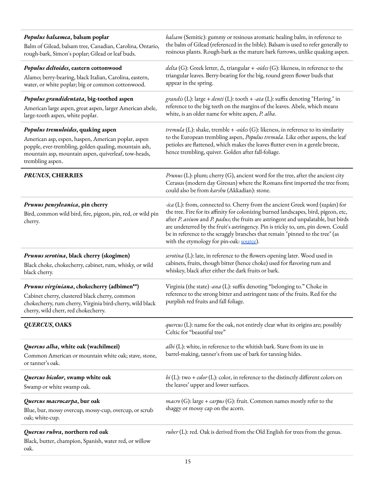| Populus balsamea, balsam poplar<br>Balm of Gilead, balsam tree, Canadian, Carolina, Ontario,<br>rough-bark, Simon's poplar; Gilead or leaf buds.                                                                               | balsam (Semitic): gummy or resinous aromatic healing balm, in reference to<br>the balm of Gilead (referenced in the bible). Balsam is used to refer generally to<br>resinous plants. Rough-bark as the mature bark furrows, unlike quaking aspen.                                                                                                                                                                                                                                  |
|--------------------------------------------------------------------------------------------------------------------------------------------------------------------------------------------------------------------------------|------------------------------------------------------------------------------------------------------------------------------------------------------------------------------------------------------------------------------------------------------------------------------------------------------------------------------------------------------------------------------------------------------------------------------------------------------------------------------------|
| Populus deltoides, eastern cottonwood<br>Alamo; berry-bearing, black Italian, Carolina, eastern,<br>water, or white poplar; big or common cottonwood.                                                                          | delta (G): Greek letter, $\Delta$ , triangular + -oides (G): likeness, in reference to the<br>triangular leaves. Berry-bearing for the big, round green flower buds that<br>appear in the spring.                                                                                                                                                                                                                                                                                  |
| Populus grandidentata, big-toothed aspen<br>American large aspen, great aspen, larger American abele,<br>large-tooth aspen, white poplar.                                                                                      | grandis (L): large + denti (L): tooth + -ata (L): suffix denoting "Having." in<br>reference to the big teeth on the margins of the leaves. Abele, which means<br>white, is an older name for white aspen, P. alba.                                                                                                                                                                                                                                                                 |
| Populus tremuloides, quaking aspen<br>American asp, espen, haspen, American poplar, aspen<br>popple, ever-trembling, golden qualing, mountain ash,<br>mountain asp, mountain aspen, quiverleaf, tow-heads,<br>trembling aspen. | <i>tremula</i> (L): shake, tremble + -oides (G): likeness, in reference to its similarity<br>to the European trembling aspen, Populus tremula. Like other aspens, the leaf<br>petioles are flattened, which makes the leaves flutter even in a gentle breeze,<br>hence trembling, quiver. Golden after fall-foliage.                                                                                                                                                               |
| <b>PRUNUS, CHERRIES</b>                                                                                                                                                                                                        | <i>Prunus</i> (L): plum; cherry (G), ancient word for the tree, after the ancient city<br>Cerasus (modern day Giresun) where the Romans first imported the tree from;<br>could also be from karshu (Akkadian): stone.                                                                                                                                                                                                                                                              |
| Prunus pensylvanica, pin cherry<br>Bird, common wild bird, fire, pigeon, pin, red, or wild pin<br>cherry.                                                                                                                      | <i>-ica</i> (L): from, connected to. Cherry from the ancient Greek word (κεράσι) for<br>the tree. Fire for its affinity for colonizing burned landscapes, bird, pigeon, etc,<br>after P. avium and P. padus; the fruits are astringent and unpalatable, but birds<br>are undeterred by the fruit's astringency. Pin is tricky to, um, pin down. Could<br>be in reference to the scraggly branches that remain "pinned to the tree" (as<br>with the etymology for pin-oak: source). |
| Prunus serotina, black cherry (skogimen)<br>Black choke, chokecherry, cabinet, rum, whisky, or wild<br>black cherry.                                                                                                           | serotina (L): late, in reference to the flowers opening later. Wood used in<br>cabinets, fruits, though bitter (hence choke) used for flavoring rum and<br>whiskey, black after either the dark fruits or bark.                                                                                                                                                                                                                                                                    |
| Prunus virginiana, chokecherry (adbimen**)<br>Cabinet cherry, clustered black cherry, common<br>chokecherry, rum cherry, Virginia bird-cherry, wild black<br>cherry, wild cherr, red chokecherry.                              | Virginia (the state) -ana (L): suffix denoting "belonging to." Choke in<br>reference to the strong bitter and astringent taste of the fruits. Red for the<br>purplish red fruits and fall foliage.                                                                                                                                                                                                                                                                                 |
| <b>QUERCUS, OAKS</b>                                                                                                                                                                                                           | quercus (L): name for the oak, not entirely clear what its origins are; possibly<br>Celtic for "beautiful tree"                                                                                                                                                                                                                                                                                                                                                                    |
| Quercus alba, white oak (wachilmezi)<br>Common American or mountain white oak; stave, stone,<br>or tanner's oak.                                                                                                               | $albi$ (L): white, in reference to the whitish bark. Stave from its use in<br>barrel-making, tanner's from use of bark for tanning hides.                                                                                                                                                                                                                                                                                                                                          |
| Quercus bicolor, swamp white oak<br>Swamp or white swamp oak.                                                                                                                                                                  | bi (L): two + color (L): color, in reference to the distinctly different colors on<br>the leaves' upper and lower surfaces.                                                                                                                                                                                                                                                                                                                                                        |
| Quercus macrocarpa, bur oak<br>Blue, bur, mossy overcup, mossy-cup, overcup, or scrub<br>oak; white-cup.                                                                                                                       | $macro(G)$ : large + <i>carpus</i> (G): fruit. Common names mostly refer to the<br>shaggy or mossy cap on the acorn.                                                                                                                                                                                                                                                                                                                                                               |
| Quercus rubra, northern red oak<br>Black, butter, champion, Spanish, water red, or willow<br>oak.                                                                                                                              | $\mathit{ruber}(L)$ : red. Oak is derived from the Old English for trees from the genus.                                                                                                                                                                                                                                                                                                                                                                                           |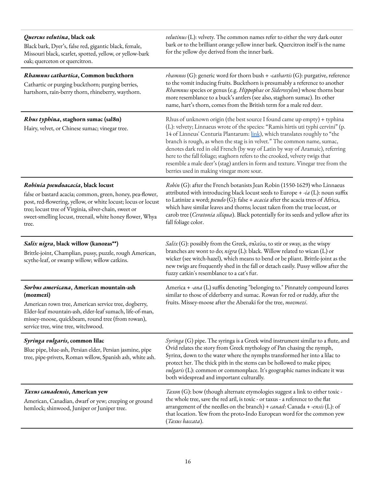| Quercus velutina, black oak<br>Black bark, Dyer's, false red, gigantic black, female,<br>Missouri black, scarlet, spotted, yellow, or yellow-bark<br>oak; querceton or quercitron.                                                                                                               | velutinus (L): velvety. The common names refer to either the very dark outer<br>bark or to the brilliant orange yellow inner bark. Quercitron itself is the name<br>for the yellow dye derived from the inner bark.                                                                                                                                                                                                                                                                                                                                                                                                       |
|--------------------------------------------------------------------------------------------------------------------------------------------------------------------------------------------------------------------------------------------------------------------------------------------------|---------------------------------------------------------------------------------------------------------------------------------------------------------------------------------------------------------------------------------------------------------------------------------------------------------------------------------------------------------------------------------------------------------------------------------------------------------------------------------------------------------------------------------------------------------------------------------------------------------------------------|
| Rhamnus cathartica, Common buckthorn<br>Cathartic or purging buckthorn; purging berries,<br>hartshorn, rain-berry thorn, rhineberry, waythorn.                                                                                                                                                   | <i>rhamnos</i> (G): generic word for thorn bush + -cathartis (G): purgative, reference<br>to the vomit inducing fruits. Buckthorn is presumably a reference to another<br>Rhamnus species or genus (e.g. Hippophae or Sideroxylon) whose thorns bear<br>more resemblance to a buck's antlers (see also, staghorn sumac). Its other<br>name, hart's thorn, comes from the British term for a male red deer.                                                                                                                                                                                                                |
| Rhus typhina, staghorn sumac (sal8n)<br>Hairy, velvet, or Chinese sumac; vinegar tree.                                                                                                                                                                                                           | Rhus of unknown origin (the best source I found came up empty) + typhina<br>(L): velvety; Linnaeus wrote of the species: "Ramis hirtis uti typhi cervini" (p.<br>14 of Linneus' Centuria Plantarum: link), which translates roughly to "the<br>branch is rough, as when the stag is in velvet." The common name, sumac,<br>denotes dark red in old French (by way of Latin by way of Aramaic), referring<br>here to the fall foliage; staghorn refers to the crooked, velvety twigs that<br>resemble a male deer's (stag) antlers in form and texture. Vinegar tree from the<br>berries used in making vinegar more sour. |
| Robinia pseudoacacia, black locust<br>false or bastard acacia; common, green, honey, pea-flower,<br>post, red-flowering, yellow, or white locust; locus or locust<br>tree; locust tree of Virginia, silver-chain, sweet or<br>sweet-smelling locust, treenail, white honey flower, Whya<br>tree. | Robin (G): after the French botanists Jean Robin (1550-1629) who Linnaeus<br>attributed with introducing black locust seeds to Europe + $-ia$ (L): noun suffix<br>to Latinize a word; pseudo (G): false + acacia after the acacia trees of Africa,<br>which have similar leaves and thorns; locust taken from the true locust, or<br>carob tree (Ceratonia siliqua). Black potentially for its seeds and yellow after its<br>fall foliage color.                                                                                                                                                                          |
| Salix nigra, black willow (kanozas**)<br>Brittle-joint, Champlian, pussy, puzzle, rough American,<br>scythe-leaf, or swamp willow; willow catkins.                                                                                                                                               | Salix (G): possibly from the Greek, σαλεύω, to stir or sway, as the wispy<br>branches are wont to do; nigra (L): black. Willow related to wican (L) or<br>wicker (see witch-hazel), which means to bend or be pliant. Brittle-joint as the<br>new twigs are frequently shed in the fall or detach easily. Pussy willow after the<br>fuzzy catkin's resemblance to a cat's fur.                                                                                                                                                                                                                                            |
| Sorbus americana, American mountain-ash<br>(mozmezi)<br>American rown tree, American service tree, dogberry,<br>Elder-leaf mountain-ash, elder-leaf sumach, life-of-man,<br>missey-moose, quickbeam, round tree (from rowan),<br>service tree, wine tree, witchwood.                             | America + -ana (L) suffix denoting "belonging to." Pinnately compound leaves<br>similar to those of elderberry and sumac. Rowan for red or ruddy, after the<br>fruits. Missey-moose after the Abenaki for the tree, mozmezi.                                                                                                                                                                                                                                                                                                                                                                                              |
| Syringa vulgaris, common lilac<br>Blue pipe, blue-ash, Persian elder, Persian jasmine, pipe<br>tree, pipe-privets, Roman willow, Spanish ash, white ash.                                                                                                                                         | Syringa (G) pipe. The syringa is a Greek wind instrument similar to a flute, and<br>Ovid relates the story from Greek mythology of Pan chasing the nymph,<br>Syrinx, down to the water where the nymphs transformed her into a lilac to<br>protect her. The thick pith in the stems can be hollowed to make pipes;<br><i>vulgaris</i> (L): common or commonplace. It's geographic names indicate it was<br>both widespread and important culturally.                                                                                                                                                                      |
| Taxus canadensis, American yew<br>American, Canadian, dwarf or yew; creeping or ground<br>hemlock; shinwood, Juniper or Juniper tree.                                                                                                                                                            | Taxon (G): bow (though alternate etymologies suggest a link to either toxic -<br>the whole tree, save the red aril, is toxic - or taxus - a reference to the flat<br>arrangement of the needles on the branch) + canad: Canada + -ensis (L): of<br>that location. Yew from the proto-Indo European word for the common yew<br>(Taxus baccata).                                                                                                                                                                                                                                                                            |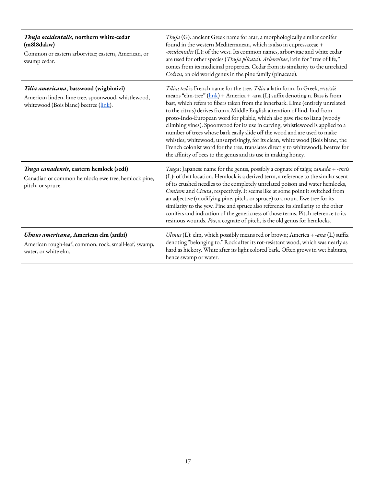| Thuja occidentalis, northern white-cedar<br>(m8l8dakw)<br>Common or eastern arborvitae; eastern, American, or<br>swamp cedar.          | Thuja (G): ancient Greek name for arar, a morphologically similar conifer<br>found in the western Mediterranean, which is also in cupressaceae +<br>-occidentalis (L): of the west. Its common names, arborvitae and white cedar<br>are used for other species (Thuja plicata). Arborvitae, latin for "tree of life,"<br>comes from its medicinal properties. Cedar from its similarity to the unrelated<br>Cedrus, an old world genus in the pine family (pinaceae).                                                                                                                                                                                                                                                                                                                                                                                            |
|----------------------------------------------------------------------------------------------------------------------------------------|------------------------------------------------------------------------------------------------------------------------------------------------------------------------------------------------------------------------------------------------------------------------------------------------------------------------------------------------------------------------------------------------------------------------------------------------------------------------------------------------------------------------------------------------------------------------------------------------------------------------------------------------------------------------------------------------------------------------------------------------------------------------------------------------------------------------------------------------------------------|
| Tilia americana, basswood (wigbimizi)<br>American linden, lime tree, spoonwood, whistlewood,<br>whitewood (Bois blanc) beetree (link). | Tilia: teil is French name for the tree, Tilia a latin form. In Greek, $\pi \tau \epsilon \lambda \epsilon \bar{\alpha}$<br>means "elm-tree" (link) + America + -ana (L) suffix denoting n. Bass is from<br>bast, which refers to fibers taken from the innerbark. Lime (entirely unrelated<br>to the citrus) derives from a Middle English alteration of lind, lind from<br>proto-Indo-European word for pliable, which also gave rise to liana (woody<br>climbing vines). Spoonwood for its use in carving; whistlewood is applied to a<br>number of trees whose bark easily slide off the wood and are used to make<br>whistles; whitewood, unsurprisingly, for its clean, white wood (Bois blanc, the<br>French colonist word for the tree, translates directly to whitewood); beetree for<br>the affinity of bees to the genus and its use in making honey. |
| Tsuga canadensis, eastern hemlock (sedi)<br>Canadian or common hemlock; ewe tree; hemlock pine,<br>pitch, or spruce.                   | Tsuga: Japanese name for the genus, possibly a cognate of taiga; canada + -ensis<br>(L): of that location. Hemlock is a derived term, a reference to the similar scent<br>of its crushed needles to the completely unrelated poison and water hemlocks,<br>Conium and Cicuta, respectively. It seems like at some point it switched from<br>an adjective (modifying pine, pitch, or spruce) to a noun. Ewe tree for its<br>similarity to the yew. Pine and spruce also reference its similarity to the other<br>conifers and indication of the genericness of those terms. Pitch reference to its<br>resinous wounds. Pix, a cognate of pitch, is the old genus for hemlocks.                                                                                                                                                                                    |
| Ulmus americana, American elm (anibi)<br>American rough-leaf, common, rock, small-leaf, swamp,<br>water, or white elm.                 | Ulmus (L): elm, which possibly means red or brown; America + -ana (L) suffix<br>denoting "belonging to." Rock after its rot-resistant wood, which was nearly as<br>hard as hickory. White after its light colored bark. Often grows in wet habitats,<br>hence swamp or water.                                                                                                                                                                                                                                                                                                                                                                                                                                                                                                                                                                                    |